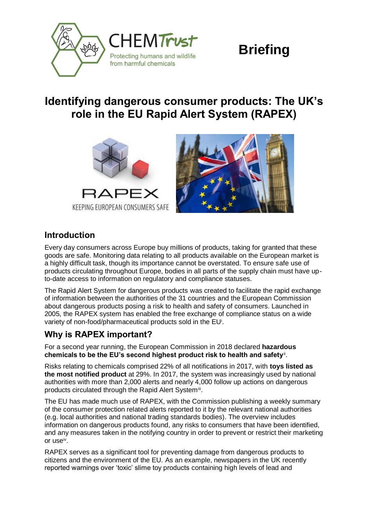

# **Briefing**

## **Identifying dangerous consumer products: The UK's role in the EU Rapid Alert System (RAPEX)**





#### **Introduction**

Every day consumers across Europe buy millions of products, taking for granted that these goods are safe. Monitoring data relating to all products available on the European market is a highly difficult task, though its importance cannot be overstated. To ensure safe use of products circulating throughout Europe, bodies in all parts of the supply chain must have upto-date access to information on regulatory and compliance statuses.

The Rapid Alert System for dangerous products was created to facilitate the rapid exchange of information between the authorities of the 31 countries and the European Commission about dangerous products posing a risk to health and safety of consumers. Launched in 2005, the RAPEX system has enabled the free exchange of compliance status on a wide variety of non-food/pharmaceutical products sold in the EU<sup>i</sup>.

### **Why is RAPEX important?**

For a second year running, the European Commission in 2018 declared **hazardous**  chemicals to be the EU's second highest product risk to health and safety**®**.

Risks relating to chemicals comprised 22% of all notifications in 2017, with **toys listed as the most notified product** at 29%. In 2017, the system was increasingly used by national authorities with more than 2,000 alerts and nearly 4,000 follow up actions on dangerous products circulated through the Rapid Alert Systemii.

The EU has made much use of RAPEX, with the Commission publishing a weekly summary of the consumer protection related alerts reported to it by the relevant national authorities (e.g. local authorities and national trading standards bodies). The overview includes information on dangerous products found, any risks to consumers that have been identified, and any measures taken in the notifying country in order to prevent or restrict their marketing or use<sup>iv</sup>.

RAPEX serves as a significant tool for preventing damage from dangerous products to citizens and the environment of the EU. As an example, newspapers in the UK recently reported warnings over 'toxic' slime toy products containing high levels of lead and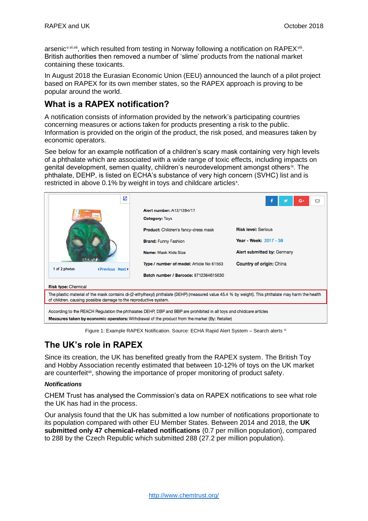arsenic<sup>v,vi,vii</sup>, which resulted from testing in Norway following a notification on RAPEX<sup>viii</sup>. British authorities then removed a number of 'slime' products from the national market containing these toxicants.

In August 2018 the Eurasian Economic Union (EEU) announced the launch of a pilot project based on RAPEX for its own member states, so the RAPEX approach is proving to be popular around the world.

#### **What is a RAPEX notification?**

A notification consists of information provided by the network's participating countries concerning measures or actions taken for products presenting a risk to the public. Information is provided on the origin of the product, the risk posed, and measures taken by economic operators.

See below for an example notification of a children's scary mask containing very high levels of a phthalate which are associated with a wide range of toxic effects, including impacts on genital development, semen quality, children's neurodevelopment amongst others<sup>ix</sup>. The phthalate, DEHP, is listed on ECHA's substance of very high concern (SVHC) list and is restricted in above 0.1% by weight in toys and childcare articles<sup>x</sup>.

| z                                                                                                                                                                                                                      |                                             | G۰<br>罓                     |  |
|------------------------------------------------------------------------------------------------------------------------------------------------------------------------------------------------------------------------|---------------------------------------------|-----------------------------|--|
| 1 of 2 photos<br>(Previous Next)                                                                                                                                                                                       | <b>Alert number: A12/1284/17</b>            |                             |  |
|                                                                                                                                                                                                                        | <b>Category: Toys</b>                       |                             |  |
|                                                                                                                                                                                                                        | <b>Product:</b> Children's fancy-dress mask | <b>Risk level: Serious</b>  |  |
|                                                                                                                                                                                                                        | <b>Brand: Funny Fashion</b>                 | Year - Week: 2017 - 38      |  |
|                                                                                                                                                                                                                        | Name: Mask Kids Size                        | Alert submitted by: Germany |  |
|                                                                                                                                                                                                                        | Type / number of model: Article No 61563    | Country of origin: China    |  |
|                                                                                                                                                                                                                        | Batch number / Barcode: 8712364615630       |                             |  |
| <b>Risk type: Chemical</b>                                                                                                                                                                                             |                                             |                             |  |
| The plastic material of the mask contains di-(2-ethylhexyl) phthalate (DEHP) (measured value 45.4 % by weight). This phthalate may harm the health<br>of children, causing possible damage to the reproductive system. |                                             |                             |  |
| According to the REACH Regulation the phthalates DEHP, DBP and BBP are prohibited in all toys and childcare articles                                                                                                   |                                             |                             |  |
| Measures taken by economic operators: Withdrawal of the product from the market (By: Retailer)                                                                                                                         |                                             |                             |  |

Figure 1: Example RAPEX Notification. Source: ECHA Rapid Alert System - Search alerts xi

## **The UK's role in RAPEXxi**

Since its creation, the UK has benefited greatly from the RAPEX system. The British Toy and Hobby Association recently estimated that between 10-12% of toys on the UK market are counterfeit<sup>xii</sup>, showing the importance of proper monitoring of product safety.

#### *Notifications*

CHEM Trust has analysed the Commission's data on RAPEX notifications to see what role the UK has had in the process.

Our analysis found that the UK has submitted a low number of notifications proportionate to its population compared with other EU Member States. Between 2014 and 2018, the **UK submitted only 47 chemical-related notifications** (0.7 per million population), compared to 288 by the Czech Republic which submitted 288 (27.2 per million population).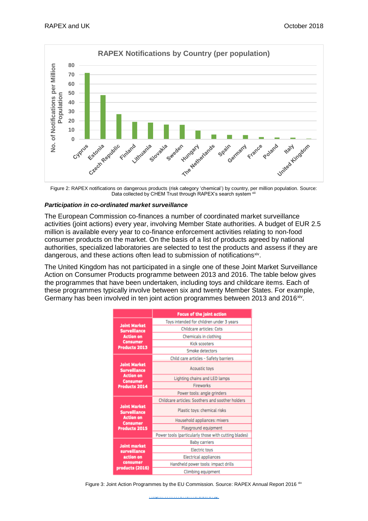

Figure 2: RAPEX notifications on dangerous products (risk category 'chemical') by country, per million population. Source: Data collected by CHEM Trust through RAPEX's search system x

#### *Participation in co-ordinated market surveillance*

The European Commission co-finances a number of coordinated market surveillance activities (joint actions) every year, involving Member State authorities. A budget of EUR 2.5 million is available every year to co-finance enforcement activities relating to non-food consumer products on the market. On the basis of a list of products agreed by national authorities, specialized laboratories are selected to test the products and assess if they are dangerous, and these actions often lead to submission of notifications<sup>xiv</sup>.

The United Kingdom has not participated in a single one of these Joint Market Surveillance Action on Consumer Products programme between 2013 and 2016. The table below gives the programmes that have been undertaken, including toys and childcare items. Each of these programmes typically involve between six and twenty Member States. For example, Germany has been involved in ten joint action programmes between 2013 and 2016<sup>xiv</sup>.

|                                                                                                           | <b>Focus of the joint action</b>                     |  |
|-----------------------------------------------------------------------------------------------------------|------------------------------------------------------|--|
| <b>Joint Market</b><br><b>Surveillance</b><br><b>Action on</b><br><b>Consumer</b><br><b>Products 2013</b> | Toys intended for children under 3 years             |  |
|                                                                                                           | <b>Childcare articles: Cots</b>                      |  |
|                                                                                                           | Chemicals in clothing                                |  |
|                                                                                                           | <b>Kick scooters</b>                                 |  |
|                                                                                                           | <b>Smoke detectors</b>                               |  |
| <b>Joint Market</b><br><b>Surveillance</b><br><b>Action on</b><br><b>Consumer</b><br><b>Products 2014</b> | Child care articles - Safety barriers                |  |
|                                                                                                           | <b>Acoustic toys</b>                                 |  |
|                                                                                                           | Lighting chains and LED lamps                        |  |
|                                                                                                           | <b>Fireworks</b>                                     |  |
|                                                                                                           | Power tools: angle grinders                          |  |
| <b>Joint Market</b><br><b>Surveillance</b><br><b>Action on</b><br>Consumer<br><b>Products 2015</b>        | Childcare articles: Soothers and soother holders     |  |
|                                                                                                           | Plastic toys: chemical risks                         |  |
|                                                                                                           | Household appliances: mixers                         |  |
|                                                                                                           | Playground equipment                                 |  |
|                                                                                                           | Power tools (particularly those with cutting blades) |  |
| <b>Joint market</b><br>surveillance<br>action on<br>consumer<br>products (2016)                           | <b>Baby carriers</b>                                 |  |
|                                                                                                           | <b>Electric toys</b>                                 |  |
|                                                                                                           | <b>Electrical appliances</b>                         |  |
|                                                                                                           | Handheld power tools: impact drills                  |  |
|                                                                                                           | Climbing equipment                                   |  |

Figure 3: Joint Action Programmes by the EU Commission. Source: RAPEX Annual Report 2016 xiv